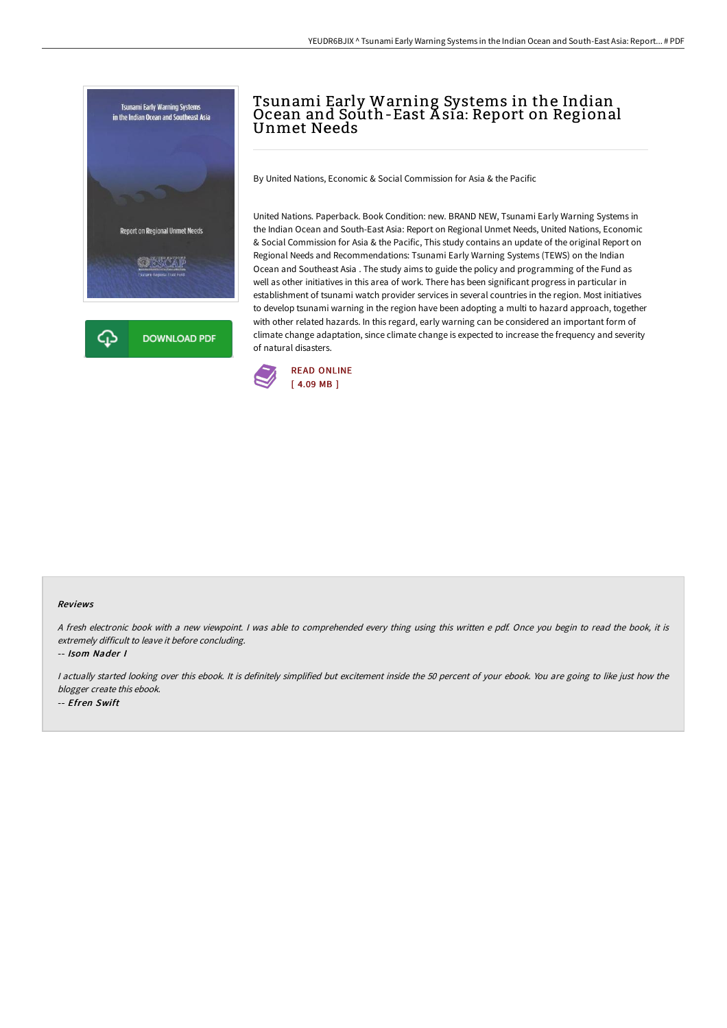



## Tsunami Early Warning Systems in the Indian Ocean and South-East Asía: Report on Regional Unmet Needs

By United Nations, Economic & Social Commission for Asia & the Pacific

United Nations. Paperback. Book Condition: new. BRAND NEW, Tsunami Early Warning Systems in the Indian Ocean and South-East Asia: Report on Regional Unmet Needs, United Nations, Economic & Social Commission for Asia & the Pacific, This study contains an update of the original Report on Regional Needs and Recommendations: Tsunami Early Warning Systems (TEWS) on the Indian Ocean and Southeast Asia . The study aims to guide the policy and programming of the Fund as well as other initiatives in this area of work. There has been significant progress in particular in establishment of tsunami watch provider services in several countries in the region. Most initiatives to develop tsunami warning in the region have been adopting a multi to hazard approach, together with other related hazards. In this regard, early warning can be considered an important form of climate change adaptation, since climate change is expected to increase the frequency and severity of natural disasters.



## Reviews

<sup>A</sup> fresh electronic book with <sup>a</sup> new viewpoint. <sup>I</sup> was able to comprehended every thing using this written <sup>e</sup> pdf. Once you begin to read the book, it is extremely difficult to leave it before concluding.

-- Isom Nader I

<sup>I</sup> actually started looking over this ebook. It is definitely simplified but excitement inside the <sup>50</sup> percent of your ebook. You are going to like just how the blogger create this ebook. -- Efren Swift